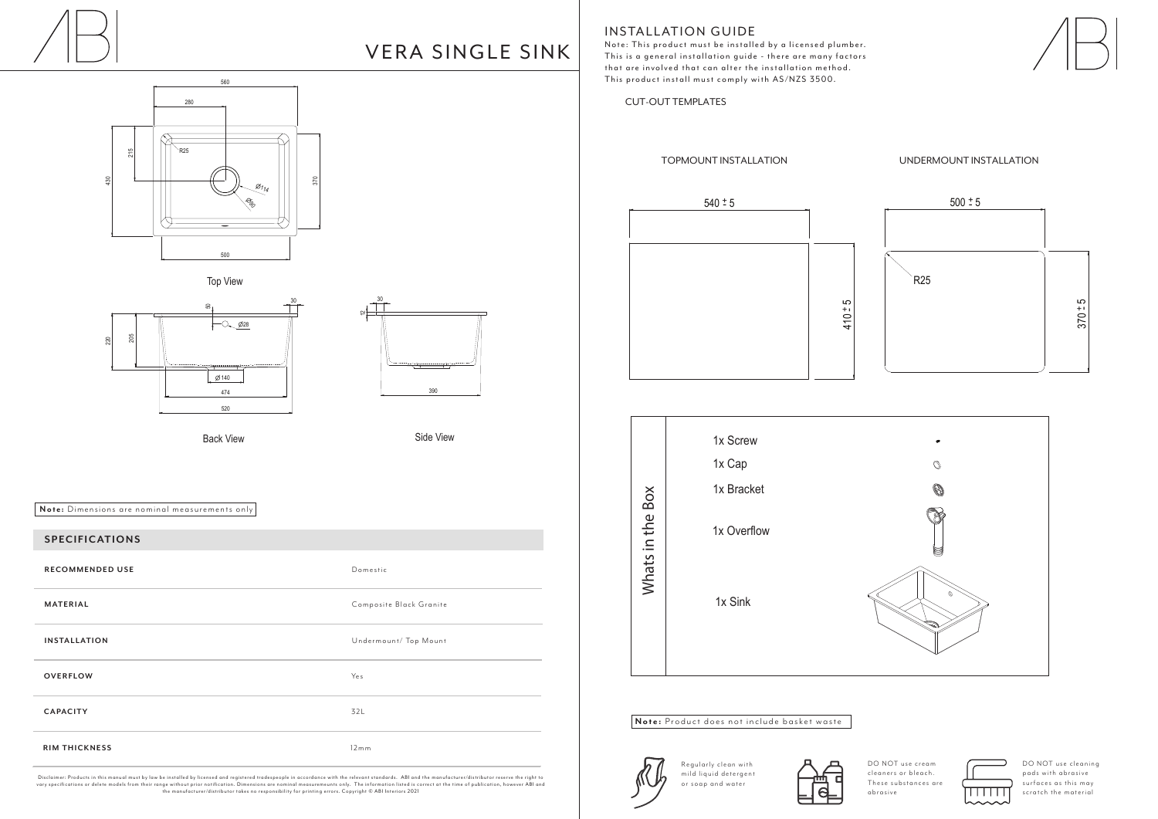



# **INSTALLATION GUIDE**

560 280 430 215 **90** 500 370  $\varnothing_{114}$ R25



Back View **Side View** Side View









CUT-OUT TEMPLATES



Disclaimer: Products in this manual must by law be installed by licensed and registered tradespeople in accordance with the relevant standards. ABI and the manufacturer/distributor reserve the right to<br>vary specifications the manufacturer/distributor takes no responsibility for printing errors. Copyright © ABI Interiors 2021



## **SPECIFICATIONS SPECIFICATIONS**

DO NOT use cream cleaners or bleach. These substances are abrasive



| <b>RECOMMENDED USE</b> | Domestic                |
|------------------------|-------------------------|
| <b>MATERIAL</b>        | Composite Black Granite |
| <b>INSTALLATION</b>    | Undermount/ Top Mount   |
| <b>OVERFLOW</b>        | Yes                     |
| <b>CAPACITY</b>        | 32L                     |
| <b>RIM THICKNESS</b>   | 12mm                    |

DO NOT use cleaning pads with abrasive surfaces as this may scratch the material

**Note:** Dimensions are nominal measurements only

Note: This product must be installed by a licensed plumber. This is a general installation guide - there are many factors that are involved that can alter the installation method. This product install must comply with AS/NZS 3500.



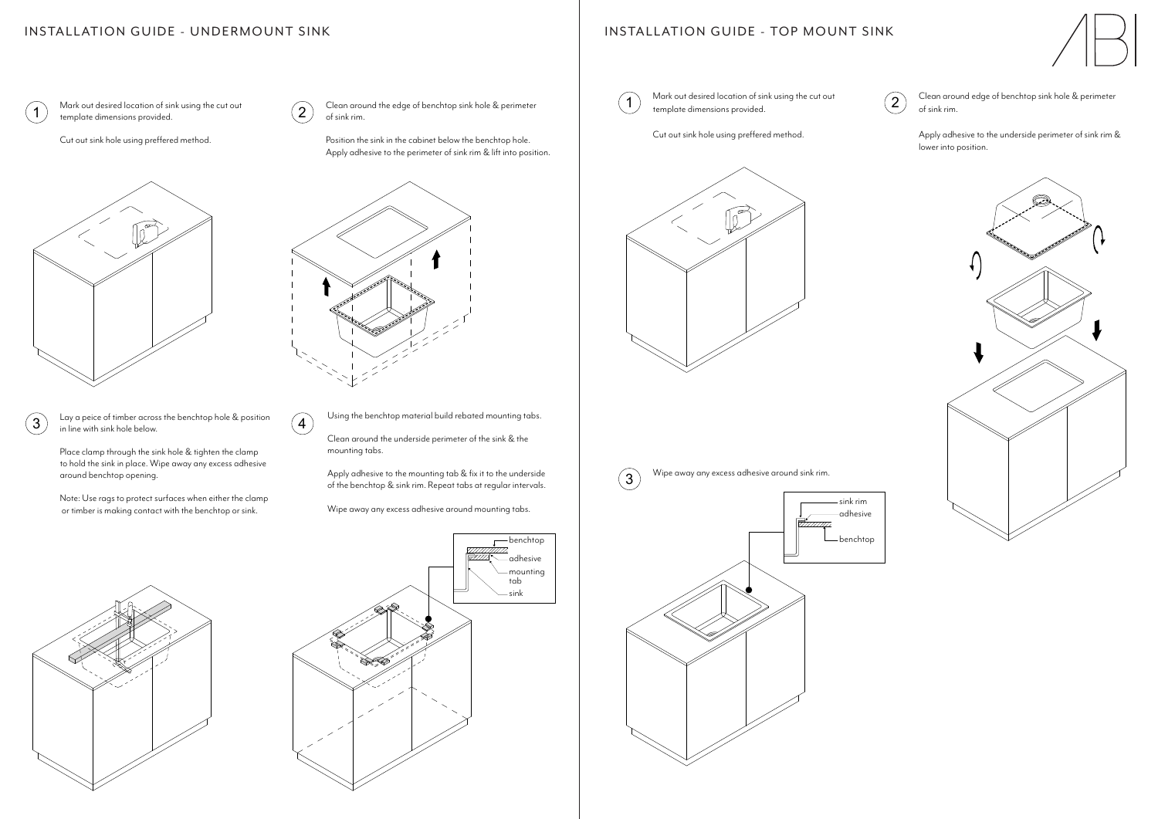$\Omega$  Mark out desired location of sink using the cut out  $\Omega$  Clean around the edge of benchtop sink hole & perimeter of sink rim.

Lay a peice of timber across the benchtop hole & position  $\begin{array}{c} 3 \\ \text{in line with sink hole below.} \end{array}$  (4 Position the sink in the cabinet below the benchtop hole. Apply adhesive to the perimeter of sink rim & lift into position.



 $\left( 2\right)$ 

Place clamp through the sink hole & tighten the clamp to hold the sink in place. Wipe away any excess adhesive around benchtop opening.

Note: Use rags to protect surfaces when either the clamp or timber is making contact with the benchtop or sink.





Using the benchtop material build rebated mounting tabs.

Clean around the underside perimeter of the sink & the mounting tabs.

## NOTALLATION GUIDL - TOP MOU INSTALLATION GUIDE - TOP MOUNT SINK



Apply adhesive to the mounting tab & fix it to the underside of the benchtop & sink rim. Repeat tabs at regular intervals.

Wipe away any excess adhesive around sink rim.  $(3)$ 

Wipe away any excess adhesive around mounting tabs.

 $\overline{1}$  Mark out desired location of sink using the cut out  $\overline{2}$  Clean around edge of benchtop sink hole & perimeter<br>template dimensions provided of sink rim.

## INSTALLATION GUIDE - UNDERMOUNT SINK INGLES INGLES INSTALLATION GUIDE - TOP MOUNT SINK INSTALLATION CUIDE - UNDERMOUNT SINK  $\overline{N}$

Mark out desired location of sink using the cut out template dimensions provided.

Cut out sink hole using preffered method.



template dimensions provided.

Cut out sink hole using preffered method.



Apply adhesive to the underside perimeter of sink rim & lower into position.